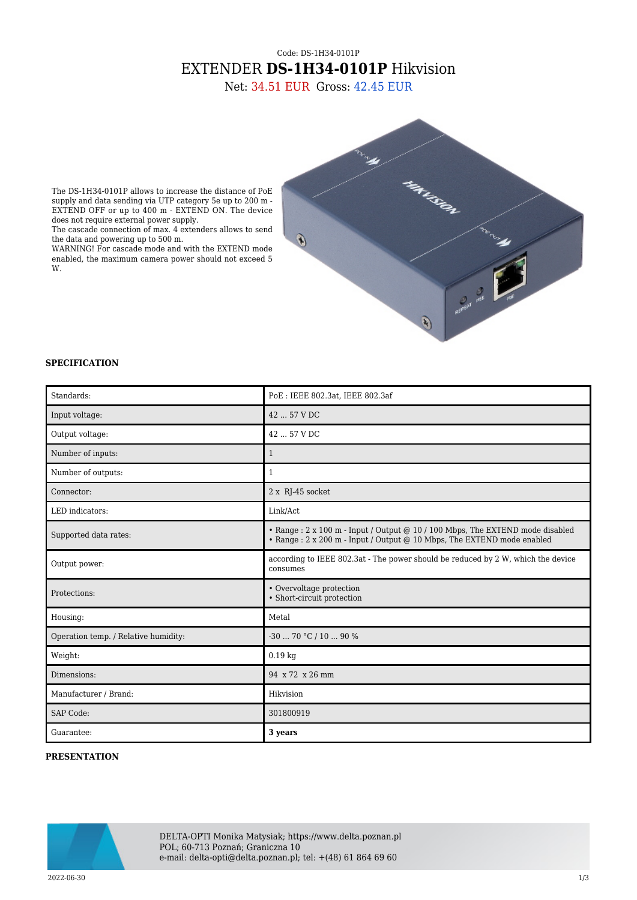## Code: DS-1H34-0101P EXTENDER **DS-1H34-0101P** Hikvision

Net: 34.51 EUR Gross: 42.45 EUR



The DS-1H34-0101P allows to increase the distance of PoE supply and data sending via UTP category 5e up to 200 m - EXTEND OFF or up to 400 m - EXTEND ON. The device does not require external power supply.

The cascade connection of max. 4 extenders allows to send the data and powering up to 500 m.

WARNING! For cascade mode and with the EXTEND mode enabled, the maximum camera power should not exceed 5 W.

## **SPECIFICATION**

| Standards:                           | PoE: IEEE 802.3at, IEEE 802.3af                                                                                                                           |
|--------------------------------------|-----------------------------------------------------------------------------------------------------------------------------------------------------------|
| Input voltage:                       | 42  57 V DC                                                                                                                                               |
| Output voltage:                      | 42  57 V DC                                                                                                                                               |
| Number of inputs:                    | $\mathbf{1}$                                                                                                                                              |
| Number of outputs:                   | $\mathbf{1}$                                                                                                                                              |
| Connector:                           | 2 x RJ-45 socket                                                                                                                                          |
| LED indicators:                      | Link/Act                                                                                                                                                  |
| Supported data rates:                | • Range : 2 x 100 m - Input / Output @ 10 / 100 Mbps, The EXTEND mode disabled<br>• Range : 2 x 200 m - Input / Output @ 10 Mbps, The EXTEND mode enabled |
| Output power:                        | according to IEEE 802.3at - The power should be reduced by 2 W, which the device<br>consumes                                                              |
| Protections:                         | • Overvoltage protection<br>• Short-circuit protection                                                                                                    |
| Housing:                             | Metal                                                                                                                                                     |
| Operation temp. / Relative humidity: | $-3070$ °C / 10  90 %                                                                                                                                     |
| Weight:                              | $0.19$ kg                                                                                                                                                 |
| Dimensions:                          | 94 x 72 x 26 mm                                                                                                                                           |
| Manufacturer / Brand:                | Hikvision                                                                                                                                                 |
| <b>SAP Code:</b>                     | 301800919                                                                                                                                                 |
| Guarantee:                           | 3 years                                                                                                                                                   |

## **PRESENTATION**

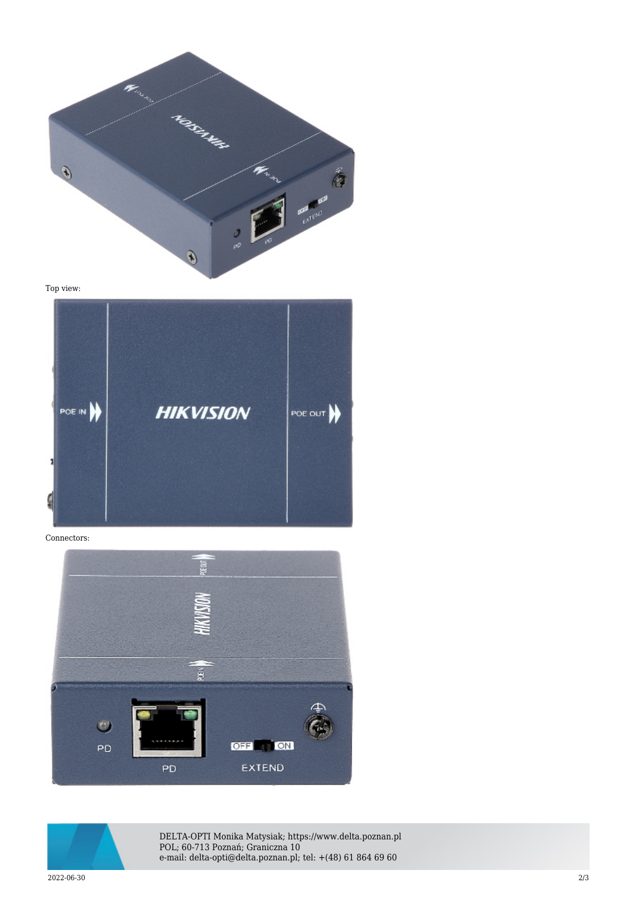

Top view:



Connectors:





DELTA-OPTI Monika Matysiak; https://www.delta.poznan.pl POL; 60-713 Poznań; Graniczna 10 e-mail: delta-opti@delta.poznan.pl; tel: +(48) 61 864 69 60

2022-06-30 2/3